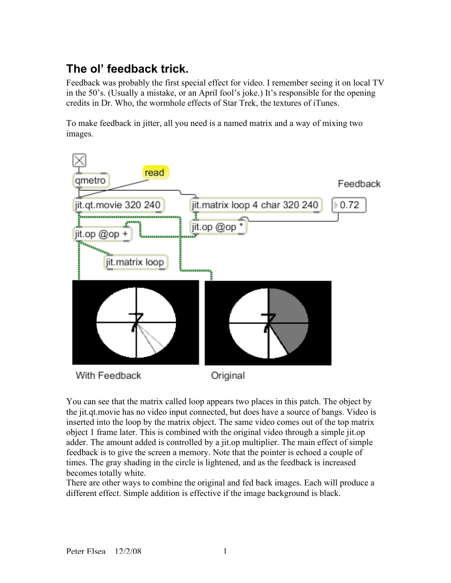## **The ol' feedback trick.**

Feedback was probably the first special effect for video. I remember seeing it on local TV in the 50's. (Usually a mistake, or an April fool's joke.) It's responsible for the opening credits in Dr. Who, the wormhole effects of Star Trek, the textures of iTunes.

To make feedback in jitter, all you need is a named matrix and a way of mixing two images.



You can see that the matrix called loop appears two places in this patch. The object by the jit.qt.movie has no video input connected, but does have a source of bangs. Video is inserted into the loop by the matrix object. The same video comes out of the top matrix object 1 frame later. This is combined with the original video through a simple jit.op adder. The amount added is controlled by a jit.op multiplier. The main effect of simple feedback is to give the screen a memory. Note that the pointer is echoed a couple of times. The gray shading in the circle is lightened, and as the feedback is increased becomes totally white.

There are other ways to combine the original and fed back images. Each will produce a different effect. Simple addition is effective if the image background is black.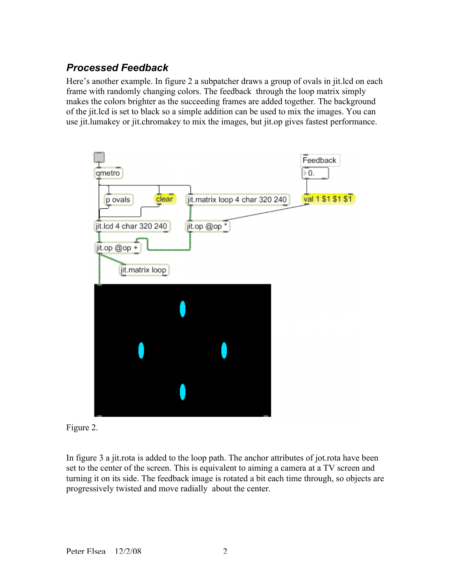## *Processed Feedback*

Here's another example. In figure 2 a subpatcher draws a group of ovals in jit.lcd on each frame with randomly changing colors. The feedback through the loop matrix simply makes the colors brighter as the succeeding frames are added together. The background of the jit.lcd is set to black so a simple addition can be used to mix the images. You can use jit.lumakey or jit.chromakey to mix the images, but jit.op gives fastest performance.



Figure 2.

In figure 3 a jit.rota is added to the loop path. The anchor attributes of jot.rota have been set to the center of the screen. This is equivalent to aiming a camera at a TV screen and turning it on its side. The feedback image is rotated a bit each time through, so objects are progressively twisted and move radially about the center.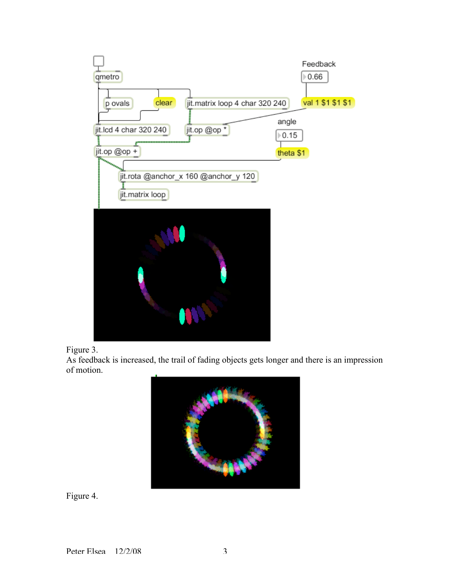



As feedback is increased, the trail of fading objects gets longer and there is an impression of motion.



Figure 4.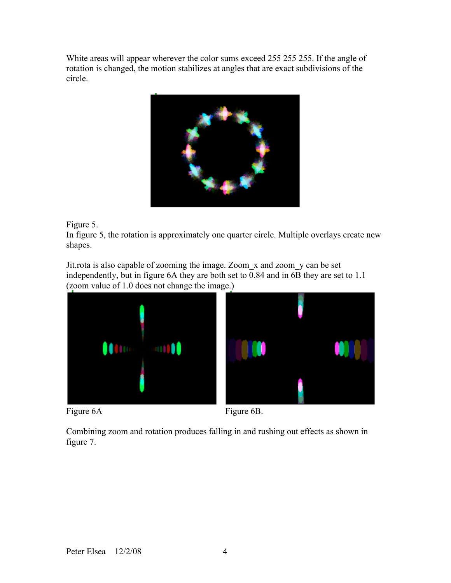White areas will appear wherever the color sums exceed 255 255 255. If the angle of rotation is changed, the motion stabilizes at angles that are exact subdivisions of the circle.



Figure 5.

In figure 5, the rotation is approximately one quarter circle. Multiple overlays create new shapes.

Jit.rota is also capable of zooming the image. Zoom\_x and zoom\_y can be set independently, but in figure 6A they are both set to  $\overline{0.84}$  and in 6B they are set to 1.1 (zoom value of 1.0 does not change the image.)







Combining zoom and rotation produces falling in and rushing out effects as shown in figure 7.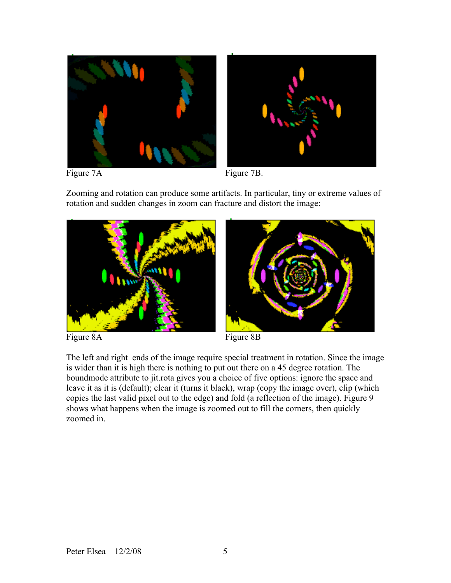



Figure 7A Figure 7B.

Zooming and rotation can produce some artifacts. In particular, tiny or extreme values of rotation and sudden changes in zoom can fracture and distort the image:



Figure 8A Figure 8B

The left and right ends of the image require special treatment in rotation. Since the image is wider than it is high there is nothing to put out there on a 45 degree rotation. The boundmode attribute to jit.rota gives you a choice of five options: ignore the space and leave it as it is (default); clear it (turns it black), wrap (copy the image over), clip (which copies the last valid pixel out to the edge) and fold (a reflection of the image). Figure 9 shows what happens when the image is zoomed out to fill the corners, then quickly zoomed in.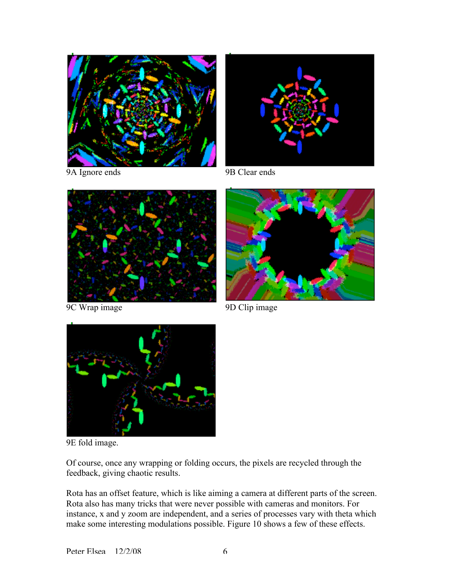



9A Ignore ends 9B Clear ends



9D Clip image 9D Clip image





9E fold image.

Of course, once any wrapping or folding occurs, the pixels are recycled through the feedback, giving chaotic results.

Rota has an offset feature, which is like aiming a camera at different parts of the screen. Rota also has many tricks that were never possible with cameras and monitors. For instance, x and y zoom are independent, and a series of processes vary with theta which make some interesting modulations possible. Figure 10 shows a few of these effects.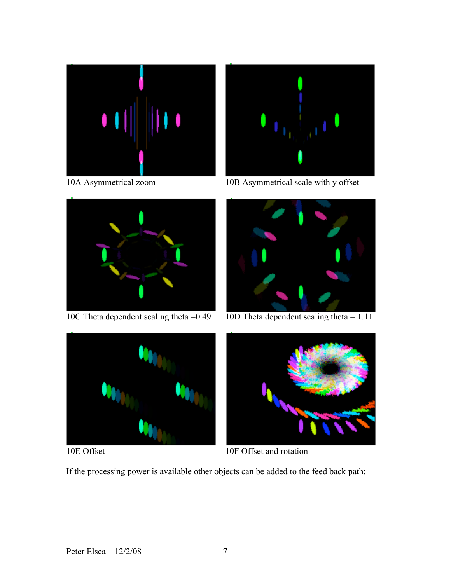



10A Asymmetrical zoom 10B Asymmetrical scale with y offset





10C Theta dependent scaling theta  $=0.49$  10D Theta dependent scaling theta  $= 1.11$ 





10E Offset 10F Offset and rotation

If the processing power is available other objects can be added to the feed back path: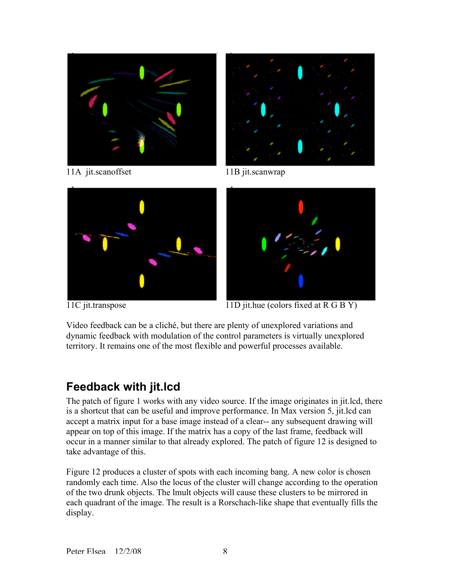

11A jit.scanoffset 11B jit.scanwrap





11C jit.transpose 11D jit.hue (colors fixed at R G B Y)

Video feedback can be a cliché, but there are plenty of unexplored variations and dynamic feedback with modulation of the control parameters is virtually unexplored territory. It remains one of the most flexible and powerful processes available.

## **Feedback with jit.lcd**

The patch of figure 1 works with any video source. If the image originates in jit.lcd, there is a shortcut that can be useful and improve performance. In Max version 5, jit.lcd can accept a matrix input for a base image instead of a clear-- any subsequent drawing will appear on top of this image. If the matrix has a copy of the last frame, feedback will occur in a manner similar to that already explored. The patch of figure 12 is designed to take advantage of this.

Figure 12 produces a cluster of spots with each incoming bang. A new color is chosen randomly each time. Also the locus of the cluster will change according to the operation of the two drunk objects. The lmult objects will cause these clusters to be mirrored in each quadrant of the image. The result is a Rorschach-like shape that eventually fills the display.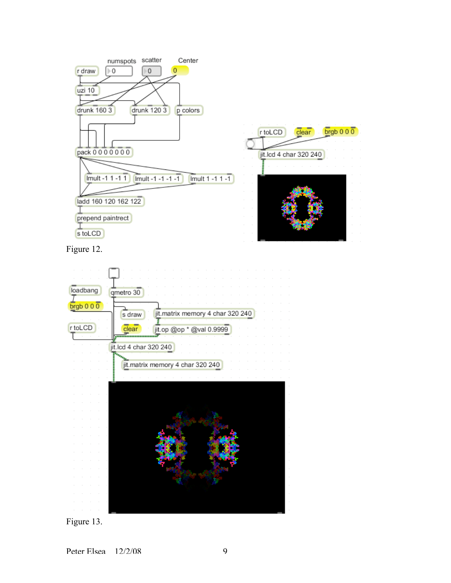

Figure 12.